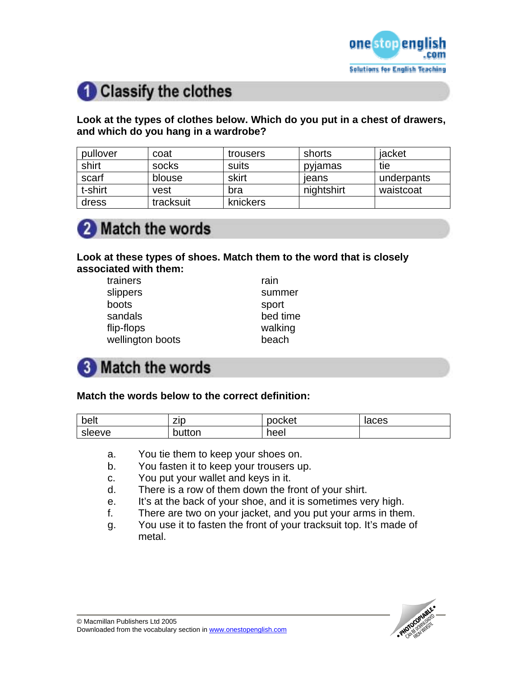

# Classify the clothes

#### **Look at the types of clothes below. Which do you put in a chest of drawers, and which do you hang in a wardrobe?**

| pullover | coat      | trousers | shorts     | jacket     |
|----------|-----------|----------|------------|------------|
| shirt    | socks     | suits    | pylamas    | tie        |
| scarf    | blouse    | skirt    | leans      | underpants |
| t-shirt  | vest      | bra      | nightshirt | waistcoat  |
| dress    | tracksuit | knickers |            |            |

# Match the words

### **Look at these types of shoes. Match them to the word that is closely associated with them:**

| trainers         | rain     |
|------------------|----------|
| slippers         | summer   |
| boots            | sport    |
| sandals          | bed time |
| flip-flops       | walking  |
| wellington boots | beach    |

# **8** Match the words

#### **Match the words below to the correct definition:**

| belt   | zıp    | pocket | laces |
|--------|--------|--------|-------|
| sleeve | button | heel   |       |

- a. You tie them to keep your shoes on.
- b. You fasten it to keep your trousers up.
- c. You put your wallet and keys in it.
- d. There is a row of them down the front of your shirt.
- e. It's at the back of your shoe, and it is sometimes very high.
- f. There are two on your jacket, and you put your arms in them.
- g. You use it to fasten the front of your tracksuit top. It's made of metal.

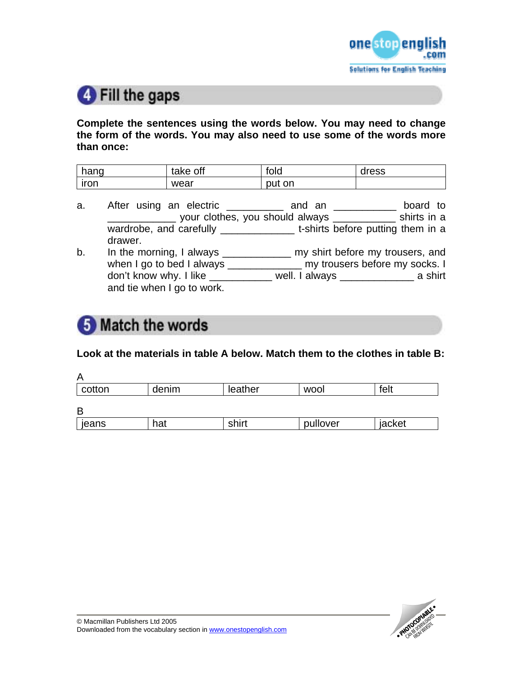

# **O** Fill the gaps

**Complete the sentences using the words below. You may need to change the form of the words. You may also need to use some of the words more than once:** 

| hang | off<br>take | fold       | dress |
|------|-------------|------------|-------|
| iron | wear        | .on<br>put |       |

- a. After using an electric \_\_\_\_\_\_\_\_\_\_ and an \_\_\_\_\_\_\_\_\_\_ board to your clothes, you should always \_\_\_\_\_\_\_\_\_\_\_\_\_ shirts in a wardrobe, and carefully \_\_\_\_\_\_\_\_\_\_\_\_\_\_\_\_\_\_t-shirts before putting them in a drawer.
- b. In the morning, I always \_\_\_\_\_\_\_\_\_\_\_\_\_\_ my shirt before my trousers, and when I go to bed I always \_\_\_\_\_\_\_\_\_\_\_\_\_\_ my trousers before my socks. I don't know why. I like \_\_\_\_\_\_\_\_\_\_\_ well. I always \_\_\_\_\_\_\_\_\_\_\_\_\_ a shirt and tie when I go to work.

## **5** Match the words

#### **Look at the materials in table A below. Match them to the clothes in table B:**

| А      |       |         |            |        |
|--------|-------|---------|------------|--------|
| cotton | denim | leather | <b>WOO</b> | felt   |
| B      |       |         |            |        |
|        |       |         |            |        |
| jeans  | hat   | shirt   | pullover   | jacket |

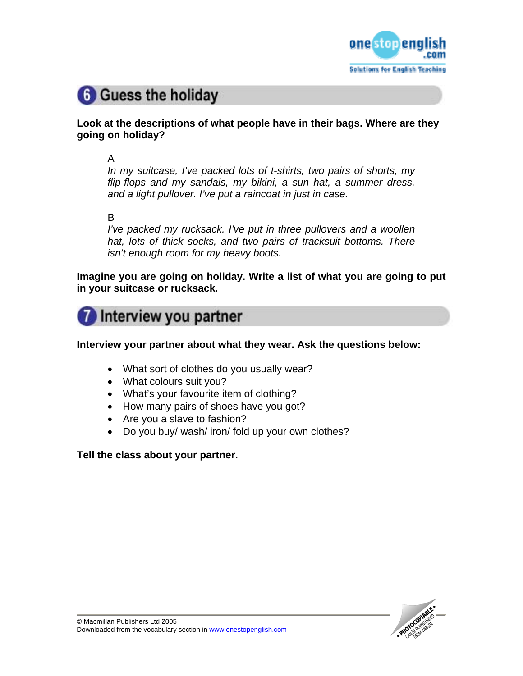

# **6** Guess the holiday

### **Look at the descriptions of what people have in their bags. Where are they going on holiday?**

A

*In my suitcase, I've packed lots of t-shirts, two pairs of shorts, my flip-flops and my sandals, my bikini, a sun hat, a summer dress, and a light pullover. I've put a raincoat in just in case.* 

### B

*I've packed my rucksack. I've put in three pullovers and a woollen hat, lots of thick socks, and two pairs of tracksuit bottoms. There isn't enough room for my heavy boots.* 

**Imagine you are going on holiday. Write a list of what you are going to put in your suitcase or rucksack.** 



**Interview your partner about what they wear. Ask the questions below:** 

- What sort of clothes do you usually wear?
- What colours suit you?
- What's your favourite item of clothing?
- How many pairs of shoes have you got?
- Are you a slave to fashion?
- Do you buy/ wash/ iron/ fold up your own clothes?

### **Tell the class about your partner.**